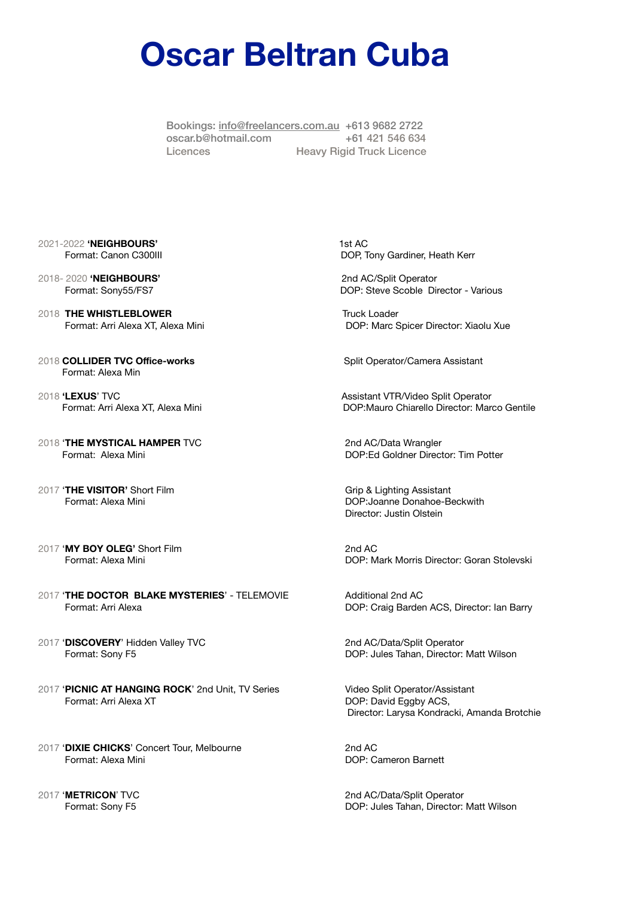## **Oscar Beltran Cuba**

Bookings: [info@freelancers.com.au](mailto:info@freelancers.com.au) +613 9682 2722 [oscar.b@hotmail.com](mailto:oscar.b@hotmail.com) +61 421 546 634 Licences Heavy Rigid Truck Licence

- 2021-2022 **'NEIGHBOURS'** 1st AC
- 2018- 2020 **'NEIGHBOURS'** 2nd AC/Split Operator
- 2018 **THE WHISTLEBLOWER** Truck Loader
- 2018 **COLLIDER TVC Office-works Split Operator/Camera Assistant** 2018 Format: Alexa Min
- 2018 'LEXUS' TVC **Assistant VTR/Video Split Operator** Assistant VTR/Video Split Operator
- 2018 'THE MYSTICAL HAMPER TVC **XAMPER** TVC 2018 (2018 AC/Data Wrangler
- 2017 '**THE VISITOR'** Short Film **X and Structure Control** Crip & Lighting Assistant
- 2017 **'MY BOY OLEG'** Short Film 2nd AC
- 2017 **'THE DOCTOR BLAKE MYSTERIES'** TELEMOVIE **Additional 2nd AC** Format: Arri AlexaDOP: Craig Barden ACS, Director: Ian Barry
- 2017 'DISCOVERY' Hidden Valley TVC **Xidem Contains a Set Contains a C**/Data/Split Operator
- 2017 'PICNIC AT HANGING ROCK' 2nd Unit, TV Series **Wideo Split Operator/Assistant** Format: Arri Alexa XT **DOP: David Eggby ACS,**
- 2017 'DIXIE CHICKS' Concert Tour, Melbourne *2017* **2nd AC** Format: Alexa Mini DOP: Cameron Barnett
- 

Format: Canon C300III **DOP, Tony Gardiner, Heath Kerr** 

Format: Sony55/FS7 DOP: Steve Scoble Director - Various

Format: Arri Alexa XT, Alexa Mini DOP: Marc Spicer Director: Xiaolu Xue

Format: Arri Alexa XT, Alexa Mini DOP:Mauro Chiarello Director: Marco Gentile

Format: Alexa Mini DOP:Ed Goldner Director: Tim Potter

Format: Alexa Mini **Example 3** and the state of the DOP:Joanne Donahoe-Beckwith Director: Justin Olstein

Format: Alexa Mini **Mark Morris Director: Goran Stolevski** DOP: Mark Morris Director: Goran Stolevski

Format: Sony F5 DOP: Jules Tahan, Director: Matt Wilson

 Director: Larysa Kondracki, Amanda Brotchie

2017 'METRICON' TVC **XXXX CONEXAGAGAGE CONVERSE CONVERSE 2nd AC/Data/Split Operator** Format: Sony F5 DOP: Jules Tahan, Director: Matt Wilson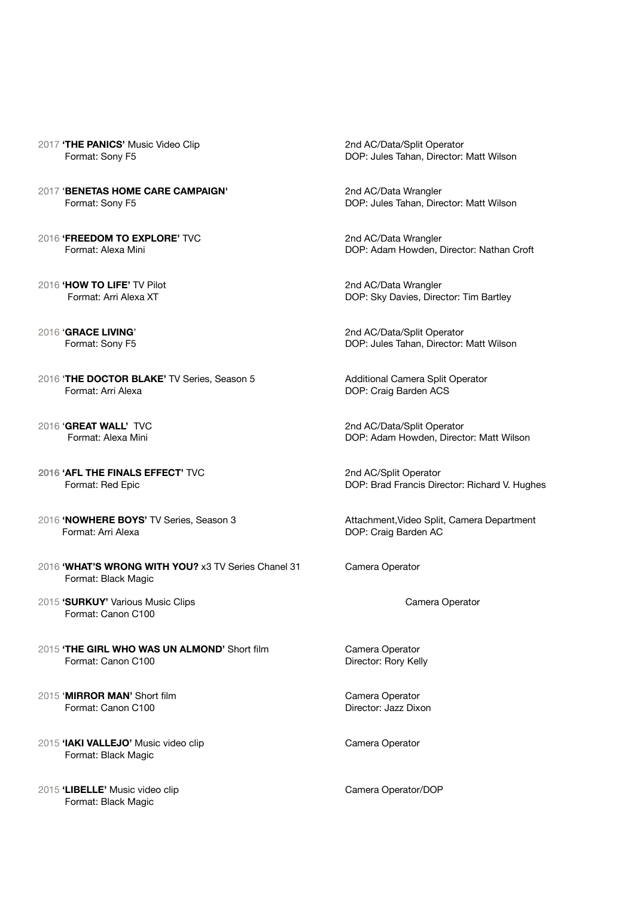- 2017 **'THE PANICS'** Music Video Clip **Xideo Clip 2017** 2nd AC/Data/Split Operator
- 2017 'BENETAS HOME CARE CAMPAIGN' **2017** 2nd AC/Data Wrangler
- 2016 'FREEDOM TO EXPLORE' TVC **XXXX COMPLEMENT CONTROLLER CONTROLLER CONTROLLER CONTROL**
- 2016 **'HOW TO LIFE'** TV Pilot **X COMEN 2016 'HOW TO LIFE'** TV Pilot **X** and AC/Data Wrangler **COMEN 2016 COMEN 2016 COMEN 2016 COMEN 2016 COMEN 2016 COMEN 2016 COMEN 2016 COMEN 2016 COMEN 2016 COMEN 2016**

- 2016 'THE DOCTOR BLAKE' TV Series, Season 5 **Additional Camera Split Operator Format: Arri Alexa** *DOP: Craig Barden ACS*
- 
- **2016 'AFL THE FINALS EFFECT'** TVC *COMPONER 2nd AC/Split Operator*
- 2016 **'NOWHERE BOYS'** TV Series, Season 3 **Xeries and Attachment, Video Split, Camera Department** Format: Arri Alexa **Solution Contract Contract Contract Contract Contract Contract Contract Contract Contract Contract Contract Contract Contract Contract Contract Contract Contract Contract Contract Contract Contract Co**
- 2016 'WHAT'S WRONG WITH YOU? x3 TV Series Chanel 31 Camera Operator Format: Black Magic
- 2015 'SURKUY' Various Music Clips **Burger and Clips**  $\frac{1}{2015}$  Camera Operator Format: Canon C100
- 2015 **'THE GIRL WHO WAS UN ALMOND'** Short film **Camera Operator Format: Canon C100 by Canon C100 Canon C100 Canon C100 Canon C100 Canon C100 Canon C100 C**
- 2015 'MIRROR MAN' Short film **XXX COMERCIA COMERCIAL COMERCIAL COMERCIAL COMERCIA** Format: Canon C100 Director: Jazz Dixon
- 2015 'IAKI VALLEJO' Music video clip **XXX Camera Operator** Camera Operator Format: Black Magic
- 2015 'LIBELLE' Music video clip **by a contract of the Camera Operator/DOP** Format: Black Magic

Format: Sony F5 DOP: Jules Tahan, Director: Matt Wilson

Format: Sony F5 **8.1 and 1.2 and 1.3 and 1.3 and 1.4 and 1.4 and 1.4 and 1.4 and 1.4 and 1.4 and 1.4 and 1.4 and 1.4 and 1.4 and 1.4 and 1.4 and 1.4 and 1.4 and 1.4 and 1.4 and 1.4 and 1.4 and 1.4 and 1.4 and 1.4 and 1.4 a** 

Format: Alexa Mini **Way and Croin Contract Contract Contract Contract Contract Contract Contract Contract Contract Contract Contract DOP: Adam Howden, Director: Nathan Croft** 

DOP: Sky Davies, Director: Tim Bartley

2016 'GRACE LIVING' **Branch Communist COMMUNIST COMMUNIST COMMUNIST COMMUNIST COMMUNIST COMMUNIST COMMUNIST COMMUNIST COMMUNIST COMMUNIST COMMUNIST COMMUNIST COMMUNIST COMMUNIST COMMUNIST COMMUNIST COMMUNIST COMMUNIST COMM** Format: Sony F5 DOP: Jules Tahan, Director: Matt Wilson

2016 **'GREAT WALL'** TVC *CODER CODER 1999 10 2016* *CODER CODER 1999 10 2016 COP: Adam Howden. Direct* **DOP: Adam Howden, Director: Matt Wilson** 

**Format: Red Epic DOP: Brad Francis Director: Richard V. Hughes**